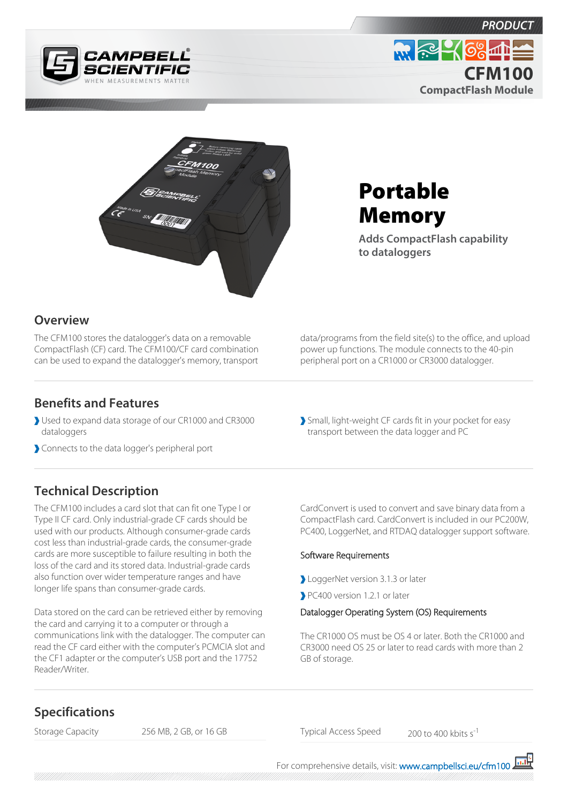





# Portable Memory

**Adds CompactFlash capability to dataloggers**

## **Overview**

The CFM100 stores the datalogger's data on a removable CompactFlash (CF) card. The CFM100/CF card combination can be used to expand the datalogger's memory, transport

#### **Benefits and Features**

- Used to expand data storage of our CR1000 and CR3000 dataloggers
- Connects to the data logger's peripheral port

## **Technical Description**

The CFM100 includes a card slot that can fit one Type I or Type II CF card. Only industrial-grade CF cards should be used with our products. Although consumer-grade cards cost less than industrial-grade cards, the consumer-grade cards are more susceptible to failure resulting in both the loss of the card and its stored data. Industrial-grade cards also function over wider temperature ranges and have longer life spans than consumer-grade cards.

Data stored on the card can be retrieved either by removing the card and carrying it to a computer or through a communications link with the datalogger. The computer can read the CF card either with the computer's PCMCIA slot and the CF1 adapter or the computer's USB port and the 17752 Reader/Writer.

data/programs from the field site(s) to the office, and upload power up functions. The module connects to the 40-pin peripheral port on a CR1000 or CR3000 datalogger.

Small, light-weight CF cards fit in your pocket for easy transport between the data logger and PC

CardConvert is used to convert and save binary data from a CompactFlash card. CardConvert is included in our PC200W, PC400, LoggerNet, and RTDAQ datalogger support software.

#### Software Requirements

- LoggerNet version 3.1.3 or later
- PC400 version 1.2.1 or later

#### Datalogger Operating System (OS) Requirements

The CR1000 OS must be OS 4 or later. Both the CR1000 and CR3000 need OS 25 or later to read cards with more than 2 GB of storage.

### **Specifications**

Storage Capacity 256 MB, 2 GB, or 16 GB Typical Access Speed 200 to 400 kbits s<sup>-1</sup>